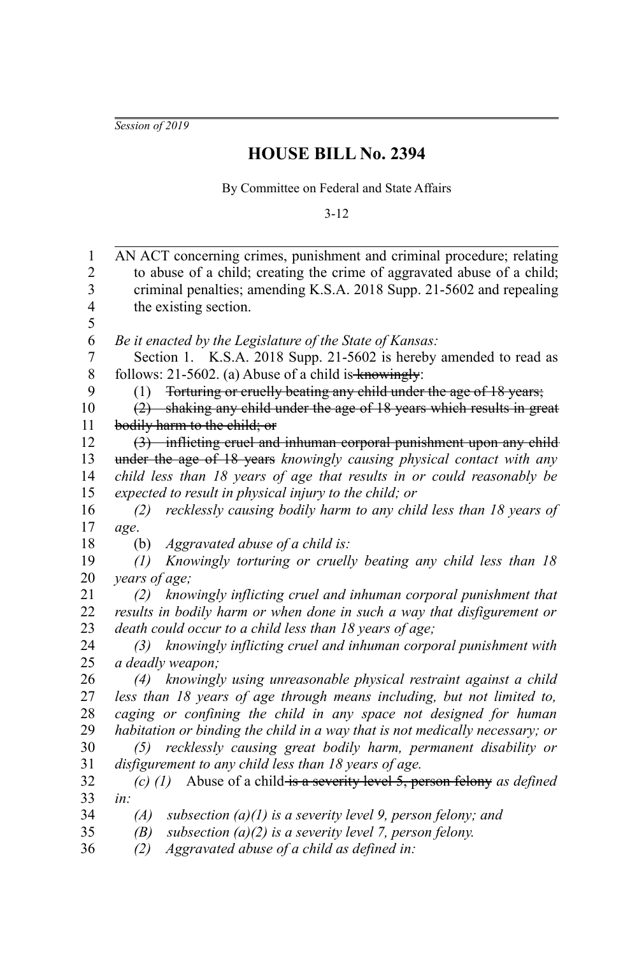*Session of 2019*

## **HOUSE BILL No. 2394**

By Committee on Federal and State Affairs

3-12

| 1              | AN ACT concerning crimes, punishment and criminal procedure; relating              |
|----------------|------------------------------------------------------------------------------------|
| $\overline{c}$ | to abuse of a child; creating the crime of aggravated abuse of a child;            |
| 3              | criminal penalties; amending K.S.A. 2018 Supp. 21-5602 and repealing               |
| $\overline{4}$ | the existing section.                                                              |
| 5              |                                                                                    |
| 6              | Be it enacted by the Legislature of the State of Kansas:                           |
| $\overline{7}$ | Section 1. K.S.A. 2018 Supp. 21-5602 is hereby amended to read as                  |
| 8              | follows: $21-5602$ . (a) Abuse of a child is knowingly:                            |
| 9              | Forturing or cruelly beating any child under the age of 18 years;<br>(1)           |
| 10             | (2) shaking any child under the age of 18 years which results in great             |
| 11             | bodily harm to the child; or                                                       |
| 12             | (3) inflicting cruel and inhuman corporal punishment upon any child                |
| 13             | under the age of 18 years knowingly causing physical contact with any              |
| 14             | child less than 18 years of age that results in or could reasonably be             |
| 15             | expected to result in physical injury to the child; or                             |
| 16             | recklessly causing bodily harm to any child less than 18 years of<br>(2)           |
| 17             | age.                                                                               |
| 18             | Aggravated abuse of a child is:<br>(b)                                             |
| 19             | Knowingly torturing or cruelly beating any child less than 18<br>$\left( I\right)$ |
| 20             | years of age;                                                                      |
| 21             | knowingly inflicting cruel and inhuman corporal punishment that<br>(2)             |
| 22             | results in bodily harm or when done in such a way that disfigurement or            |
| 23             | death could occur to a child less than 18 years of age;                            |
| 24             | knowingly inflicting cruel and inhuman corporal punishment with<br>(3)             |
| 25             | a deadly weapon;                                                                   |
| 26             | (4) knowingly using unreasonable physical restraint against a child                |
| 27             | less than 18 years of age through means including, but not limited to,             |
| 28             | caging or confining the child in any space not designed for human                  |
| 29             | habitation or binding the child in a way that is not medically necessary; or       |
| 30             | recklessly causing great bodily harm, permanent disability or<br>(5)               |
| 31             | disfigurement to any child less than 18 years of age.                              |
| 32             | (c) (1) Abuse of a child is a severity level 5, person felony as defined           |
| 33             | in:                                                                                |
| 34             | subsection $(a)(1)$ is a severity level 9, person felony; and<br>(A)               |
| 35             | subsection $(a)(2)$ is a severity level 7, person felony.<br>(B)                   |
| 36             | Aggravated abuse of a child as defined in:<br>(2)                                  |